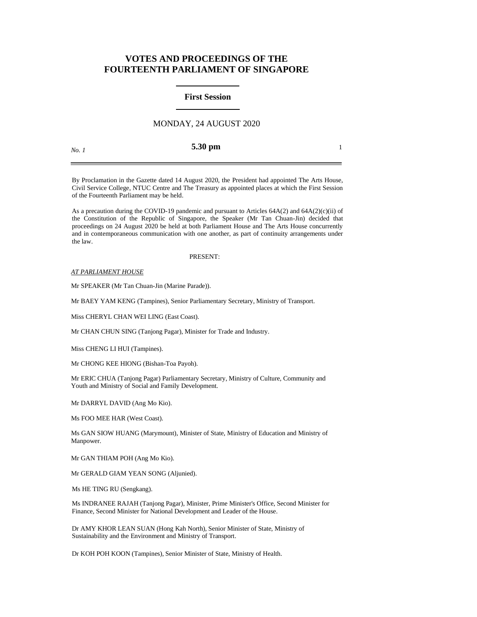# **VOTES AND PROCEEDINGS OF THE FOURTEENTH PARLIAMENT OF SINGAPORE**

#### **First Session**

## MONDAY, 24 AUGUST 2020

*No. 1*

**5.30 pm** 1

By Proclamation in the Gazette dated 14 August 2020, the President had appointed The Arts House, Civil Service College, NTUC Centre and The Treasury as appointed places at which the First Session of the Fourteenth Parliament may be held.

As a precaution during the COVID-19 pandemic and pursuant to Articles  $64A(2)$  and  $64A(2)(c)(ii)$  of the Constitution of the Republic of Singapore, the Speaker (Mr Tan Chuan-Jin) decided that proceedings on 24 August 2020 be held at both Parliament House and The Arts House concurrently and in contemporaneous communication with one another, as part of continuity arrangements under the law.

#### PRESENT:

*AT PARLIAMENT HOUSE*

Mr SPEAKER (Mr Tan Chuan-Jin (Marine Parade)).

Mr BAEY YAM KENG (Tampines), Senior Parliamentary Secretary, Ministry of Transport.

Miss CHERYL CHAN WEI LING (East Coast).

Mr CHAN CHUN SING (Tanjong Pagar), Minister for Trade and Industry.

Miss CHENG LI HUI (Tampines).

Mr CHONG KEE HIONG (Bishan-Toa Payoh).

Mr ERIC CHUA (Tanjong Pagar) Parliamentary Secretary, Ministry of Culture, Community and Youth and Ministry of Social and Family Development.

Mr DARRYL DAVID (Ang Mo Kio).

Ms FOO MEE HAR (West Coast).

Ms GAN SIOW HUANG (Marymount), Minister of State, Ministry of Education and Ministry of Manpower.

Mr GAN THIAM POH (Ang Mo Kio).

Mr GERALD GIAM YEAN SONG (Aljunied).

Ms HE TING RU (Sengkang).

Ms INDRANEE RAJAH (Tanjong Pagar), Minister, Prime Minister's Office, Second Minister for Finance, Second Minister for National Development and Leader of the House.

Dr AMY KHOR LEAN SUAN (Hong Kah North), Senior Minister of State, Ministry of Sustainability and the Environment and Ministry of Transport.

Dr KOH POH KOON (Tampines), Senior Minister of State, Ministry of Health.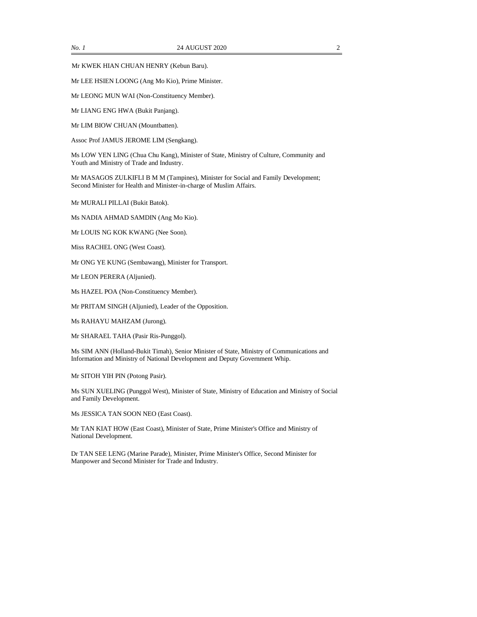Mr KWEK HIAN CHUAN HENRY (Kebun Baru).

Mr LEE HSIEN LOONG (Ang Mo Kio), Prime Minister.

Mr LEONG MUN WAI (Non-Constituency Member).

Mr LIANG ENG HWA (Bukit Panjang).

Mr LIM BIOW CHUAN (Mountbatten).

Assoc Prof JAMUS JEROME LIM (Sengkang).

Ms LOW YEN LING (Chua Chu Kang), Minister of State, Ministry of Culture, Community and Youth and Ministry of Trade and Industry.

Mr MASAGOS ZULKIFLI B M M (Tampines), Minister for Social and Family Development; Second Minister for Health and Minister-in-charge of Muslim Affairs.

Mr MURALI PILLAI (Bukit Batok).

Ms NADIA AHMAD SAMDIN (Ang Mo Kio).

Mr LOUIS NG KOK KWANG (Nee Soon).

Miss RACHEL ONG (West Coast).

Mr ONG YE KUNG (Sembawang), Minister for Transport.

Mr LEON PERERA (Aljunied).

Ms HAZEL POA (Non-Constituency Member).

Mr PRITAM SINGH (Aljunied), Leader of the Opposition.

Ms RAHAYU MAHZAM (Jurong).

Mr SHARAEL TAHA (Pasir Ris-Punggol).

Ms SIM ANN (Holland-Bukit Timah), Senior Minister of State, Ministry of Communications and Information and Ministry of National Development and Deputy Government Whip.

Mr SITOH YIH PIN (Potong Pasir).

Ms SUN XUELING (Punggol West), Minister of State, Ministry of Education and Ministry of Social and Family Development.

Ms JESSICA TAN SOON NEO (East Coast).

Mr TAN KIAT HOW (East Coast), Minister of State, Prime Minister's Office and Ministry of National Development.

Dr TAN SEE LENG (Marine Parade), Minister, Prime Minister's Office, Second Minister for Manpower and Second Minister for Trade and Industry.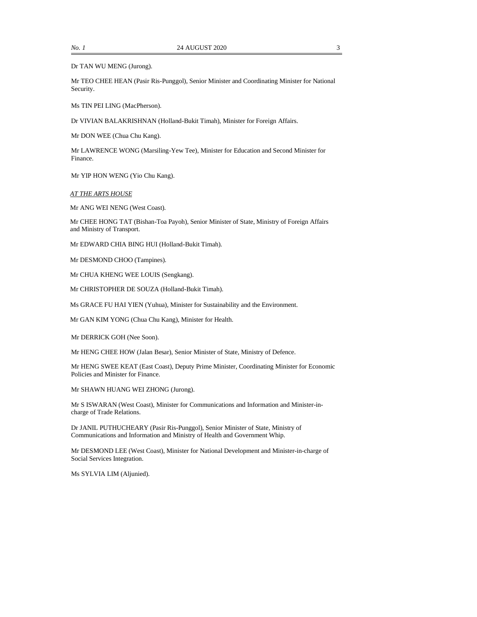Dr TAN WU MENG (Jurong).

Mr TEO CHEE HEAN (Pasir Ris-Punggol), Senior Minister and Coordinating Minister for National Security.

Ms TIN PEI LING (MacPherson).

Dr VIVIAN BALAKRISHNAN (Holland-Bukit Timah), Minister for Foreign Affairs.

Mr DON WEE (Chua Chu Kang).

Mr LAWRENCE WONG (Marsiling-Yew Tee), Minister for Education and Second Minister for Finance.

Mr YIP HON WENG (Yio Chu Kang).

*AT THE ARTS HOUSE*

Mr ANG WEI NENG (West Coast).

Mr CHEE HONG TAT (Bishan-Toa Payoh), Senior Minister of State, Ministry of Foreign Affairs and Ministry of Transport.

Mr EDWARD CHIA BING HUI (Holland-Bukit Timah).

Mr DESMOND CHOO (Tampines).

Mr CHUA KHENG WEE LOUIS (Sengkang).

Mr CHRISTOPHER DE SOUZA (Holland-Bukit Timah).

Ms GRACE FU HAI YIEN (Yuhua), Minister for Sustainability and the Environment.

Mr GAN KIM YONG (Chua Chu Kang), Minister for Health.

Mr DERRICK GOH (Nee Soon).

Mr HENG CHEE HOW (Jalan Besar), Senior Minister of State, Ministry of Defence.

Mr HENG SWEE KEAT (East Coast), Deputy Prime Minister, Coordinating Minister for Economic Policies and Minister for Finance.

Mr SHAWN HUANG WEI ZHONG (Jurong).

Mr S ISWARAN (West Coast), Minister for Communications and Information and Minister-incharge of Trade Relations.

Dr JANIL PUTHUCHEARY (Pasir Ris-Punggol), Senior Minister of State, Ministry of Communications and Information and Ministry of Health and Government Whip.

Mr DESMOND LEE (West Coast), Minister for National Development and Minister-in-charge of Social Services Integration.

Ms SYLVIA LIM (Aljunied).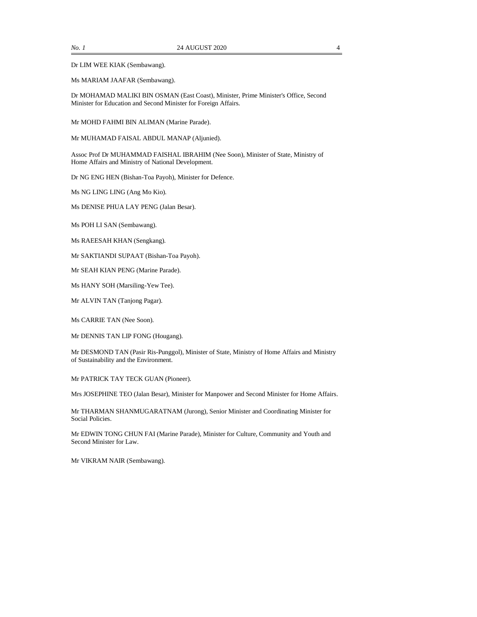Dr LIM WEE KIAK (Sembawang).

Ms MARIAM JAAFAR (Sembawang).

Dr MOHAMAD MALIKI BIN OSMAN (East Coast), Minister, Prime Minister's Office, Second Minister for Education and Second Minister for Foreign Affairs.

Mr MOHD FAHMI BIN ALIMAN (Marine Parade).

Mr MUHAMAD FAISAL ABDUL MANAP (Aljunied).

Assoc Prof Dr MUHAMMAD FAISHAL IBRAHIM (Nee Soon), Minister of State, Ministry of Home Affairs and Ministry of National Development.

Dr NG ENG HEN (Bishan-Toa Payoh), Minister for Defence.

Ms NG LING LING (Ang Mo Kio).

Ms DENISE PHUA LAY PENG (Jalan Besar).

Ms POH LI SAN (Sembawang).

Ms RAEESAH KHAN (Sengkang).

Mr SAKTIANDI SUPAAT (Bishan-Toa Payoh).

Mr SEAH KIAN PENG (Marine Parade).

Ms HANY SOH (Marsiling-Yew Tee).

Mr ALVIN TAN (Tanjong Pagar).

Ms CARRIE TAN (Nee Soon).

Mr DENNIS TAN LIP FONG (Hougang).

Mr DESMOND TAN (Pasir Ris-Punggol), Minister of State, Ministry of Home Affairs and Ministry of Sustainability and the Environment.

Mr PATRICK TAY TECK GUAN (Pioneer).

Mrs JOSEPHINE TEO (Jalan Besar), Minister for Manpower and Second Minister for Home Affairs.

Mr THARMAN SHANMUGARATNAM (Jurong), Senior Minister and Coordinating Minister for Social Policies.

Mr EDWIN TONG CHUN FAI (Marine Parade), Minister for Culture, Community and Youth and Second Minister for Law.

Mr VIKRAM NAIR (Sembawang).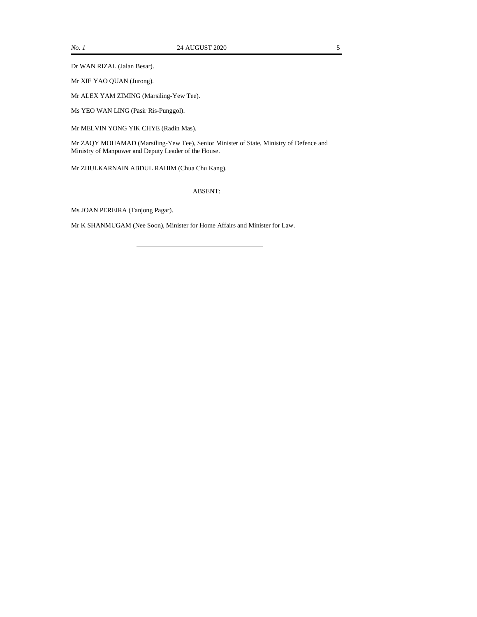Dr WAN RIZAL (Jalan Besar).

Mr XIE YAO QUAN (Jurong).

Mr ALEX YAM ZIMING (Marsiling-Yew Tee).

Ms YEO WAN LING (Pasir Ris-Punggol).

Mr MELVIN YONG YIK CHYE (Radin Mas).

Mr ZAQY MOHAMAD (Marsiling-Yew Tee), Senior Minister of State, Ministry of Defence and Ministry of Manpower and Deputy Leader of the House.

Mr ZHULKARNAIN ABDUL RAHIM (Chua Chu Kang).

ABSENT:

Ms JOAN PEREIRA (Tanjong Pagar).

Mr K SHANMUGAM (Nee Soon), Minister for Home Affairs and Minister for Law.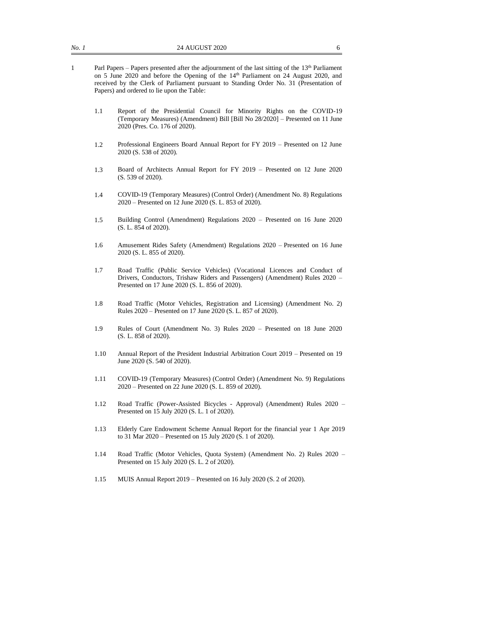- 1 Parl Papers Papers presented after the adjournment of the last sitting of the 13th Parliament on 5 June 2020 and before the Opening of the 14<sup>th</sup> Parliament on 24 August 2020, and received by the Clerk of Parliament pursuant to Standing Order No. 31 (Presentation of Papers) and ordered to lie upon the Table:
	- 1.1 Report of the Presidential Council for Minority Rights on the COVID-19 (Temporary Measures) (Amendment) Bill [Bill No 28/2020] – Presented on 11 June 2020 (Pres. Co. 176 of 2020).
	- 1.2 Professional Engineers Board Annual Report for FY 2019 Presented on 12 June 2020 (S. 538 of 2020).
	- 1.3 Board of Architects Annual Report for FY 2019 Presented on 12 June 2020 (S. 539 of 2020).
	- 1.4 COVID-19 (Temporary Measures) (Control Order) (Amendment No. 8) Regulations 2020 – Presented on 12 June 2020 (S. L. 853 of 2020).
	- 1.5 Building Control (Amendment) Regulations 2020 Presented on 16 June 2020 (S. L. 854 of 2020).
	- 1.6 Amusement Rides Safety (Amendment) Regulations 2020 Presented on 16 June 2020 (S. L. 855 of 2020).
	- 1.7 Road Traffic (Public Service Vehicles) (Vocational Licences and Conduct of Drivers, Conductors, Trishaw Riders and Passengers) (Amendment) Rules 2020 – Presented on 17 June 2020 (S. L. 856 of 2020).
	- 1.8 Road Traffic (Motor Vehicles, Registration and Licensing) (Amendment No. 2) Rules 2020 – Presented on 17 June 2020 (S. L. 857 of 2020).
	- 1.9 Rules of Court (Amendment No. 3) Rules 2020 Presented on 18 June 2020 (S. L. 858 of 2020).
	- 1.10 Annual Report of the President Industrial Arbitration Court 2019 Presented on 19 June 2020 (S. 540 of 2020).
	- 1.11 COVID-19 (Temporary Measures) (Control Order) (Amendment No. 9) Regulations 2020 – Presented on 22 June 2020 (S. L. 859 of 2020).
	- 1.12 Road Traffic (Power-Assisted Bicycles Approval) (Amendment) Rules 2020 Presented on 15 July 2020 (S. L. 1 of 2020).
	- 1.13 Elderly Care Endowment Scheme Annual Report for the financial year 1 Apr 2019 to 31 Mar 2020 – Presented on 15 July 2020 (S. 1 of 2020).
	- 1.14 Road Traffic (Motor Vehicles, Quota System) (Amendment No. 2) Rules 2020 Presented on 15 July 2020 (S. L. 2 of 2020).
	- 1.15 MUIS Annual Report 2019 Presented on 16 July 2020 (S. 2 of 2020).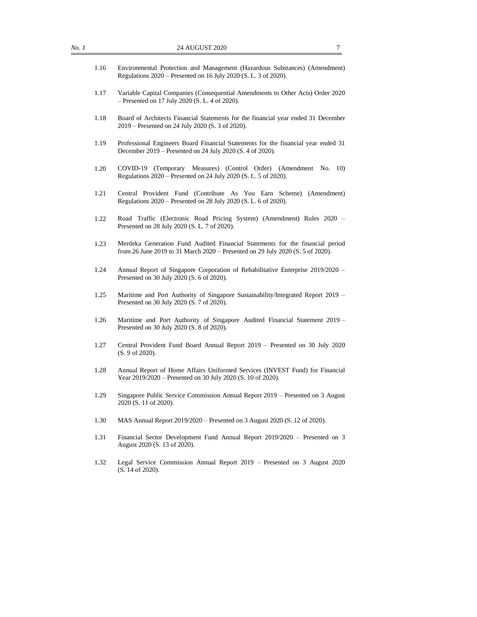- 1.17 Variable Capital Companies (Consequential Amendments to Other Acts) Order 2020 – Presented on 17 July 2020 (S. L. 4 of 2020).
- 1.18 Board of Architects Financial Statements for the financial year ended 31 December 2019 – Presented on 24 July 2020 (S. 3 of 2020).
- 1.19 Professional Engineers Board Financial Statements for the financial year ended 31 December 2019 – Presented on 24 July 2020 (S. 4 of 2020).
- 1.20 COVID-19 (Temporary Measures) (Control Order) (Amendment No. 10) Regulations 2020 – Presented on 24 July 2020 (S. L. 5 of 2020).
- 1.21 Central Provident Fund (Contribute As You Earn Scheme) (Amendment) Regulations 2020 – Presented on 28 July 2020 (S. L. 6 of 2020).
- 1.22 Road Traffic (Electronic Road Pricing System) (Amendment) Rules 2020 Presented on 28 July 2020 (S. L. 7 of 2020).
- 1.23 Merdeka Generation Fund Audited Financial Statements for the financial period from 26 June 2019 to 31 March 2020 – Presented on 29 July 2020 (S. 5 of 2020).
- 1.24 Annual Report of Singapore Corporation of Rehabilitative Enterprise 2019/2020 Presented on 30 July 2020 (S. 6 of 2020).
- 1.25 Maritime and Port Authority of Singapore Sustainability/Integrated Report 2019 Presented on 30 July 2020 (S. 7 of 2020).
- 1.26 Maritime and Port Authority of Singapore Audited Financial Statement 2019 Presented on 30 July 2020 (S. 8 of 2020).
- 1.27 Central Provident Fund Board Annual Report 2019 Presented on 30 July 2020 (S. 9 of 2020).
- 1.28 Annual Report of Home Affairs Uniformed Services (INVEST Fund) for Financial Year 2019/2020 – Presented on 30 July 2020 (S. 10 of 2020).
- 1.29 Singapore Public Service Commission Annual Report 2019 Presented on 3 August 2020 (S. 11 of 2020).
- 1.30 MAS Annual Report 2019/2020 Presented on 3 August 2020 (S. 12 of 2020).
- 1.31 Financial Sector Development Fund Annual Report 2019/2020 Presented on 3 August 2020 (S. 13 of 2020).
- 1.32 Legal Service Commission Annual Report 2019 Presented on 3 August 2020 (S. 14 of 2020).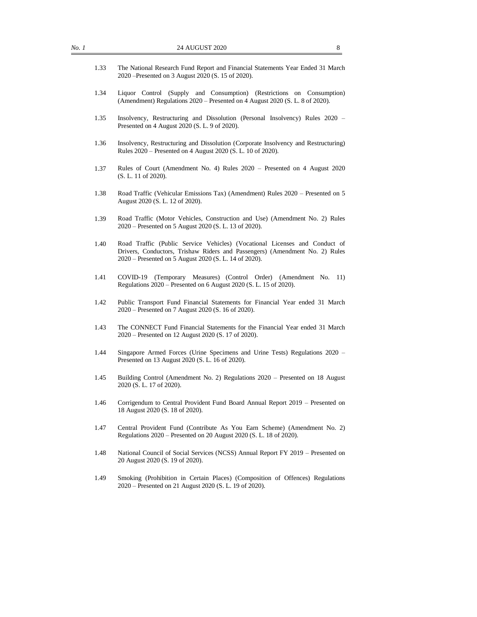| No.1 | 24 AUGUST 2020<br>8                                                                                                                                                                                                |
|------|--------------------------------------------------------------------------------------------------------------------------------------------------------------------------------------------------------------------|
| 1.33 | The National Research Fund Report and Financial Statements Year Ended 31 March<br>2020 – Presented on 3 August 2020 (S. 15 of 2020).                                                                               |
| 1.34 | Liquor Control (Supply and Consumption) (Restrictions on Consumption)<br>(Amendment) Regulations 2020 – Presented on 4 August 2020 (S. L. 8 of 2020).                                                              |
| 1.35 | Insolvency, Restructuring and Dissolution (Personal Insolvency) Rules 2020 –<br>Presented on 4 August 2020 (S. L. 9 of 2020).                                                                                      |
| 1.36 | Insolvency, Restructuring and Dissolution (Corporate Insolvency and Restructuring)<br>Rules 2020 – Presented on 4 August 2020 (S. L. 10 of 2020).                                                                  |
| 1.37 | Rules of Court (Amendment No. 4) Rules 2020 - Presented on 4 August 2020<br>(S. L. 11 of 2020).                                                                                                                    |
| 1.38 | Road Traffic (Vehicular Emissions Tax) (Amendment) Rules 2020 – Presented on 5<br>August 2020 (S. L. 12 of 2020).                                                                                                  |
| 1.39 | Road Traffic (Motor Vehicles, Construction and Use) (Amendment No. 2) Rules<br>2020 – Presented on 5 August 2020 (S. L. 13 of 2020).                                                                               |
| 1.40 | Road Traffic (Public Service Vehicles) (Vocational Licenses and Conduct of<br>Drivers, Conductors, Trishaw Riders and Passengers) (Amendment No. 2) Rules<br>2020 – Presented on 5 August 2020 (S. L. 14 of 2020). |
| 1.41 | COVID-19<br>(Temporary Measures) (Control Order) (Amendment No.<br>11)<br>Regulations 2020 – Presented on 6 August 2020 (S. L. 15 of 2020).                                                                        |
| 1.42 | Public Transport Fund Financial Statements for Financial Year ended 31 March<br>2020 – Presented on 7 August 2020 (S. 16 of 2020).                                                                                 |
| 1.43 | The CONNECT Fund Financial Statements for the Financial Year ended 31 March<br>2020 – Presented on 12 August 2020 (S. 17 of 2020).                                                                                 |
| 1.44 | Singapore Armed Forces (Urine Specimens and Urine Tests) Regulations 2020 -<br>Presented on 13 August 2020 (S. L. 16 of 2020).                                                                                     |
| 1.45 | Building Control (Amendment No. 2) Regulations 2020 - Presented on 18 August<br>2020 (S. L. 17 of 2020).                                                                                                           |
| 1.46 | Corrigendum to Central Provident Fund Board Annual Report 2019 – Presented on<br>18 August 2020 (S. 18 of 2020).                                                                                                   |
| 1.47 | Central Provident Fund (Contribute As You Earn Scheme) (Amendment No. 2)<br>Regulations 2020 – Presented on 20 August 2020 (S. L. 18 of 2020).                                                                     |
| 1.48 | National Council of Social Services (NCSS) Annual Report FY 2019 – Presented on<br>20 August 2020 (S. 19 of 2020).                                                                                                 |
|      | Smoking (Prohibition in Certain Places) (Composition of Offences) Regulations<br>2020 – Presented on 21 August 2020 (S. L. 19 of 2020).                                                                            |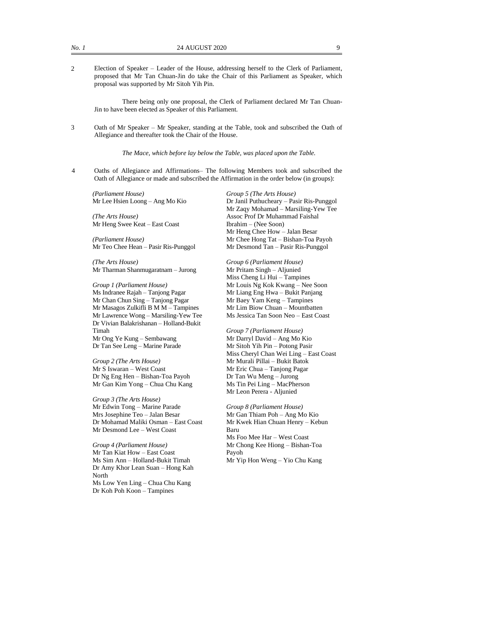2 Election of Speaker – Leader of the House, addressing herself to the Clerk of Parliament, proposed that Mr Tan Chuan-Jin do take the Chair of this Parliament as Speaker, which proposal was supported by Mr Sitoh Yih Pin.

There being only one proposal, the Clerk of Parliament declared Mr Tan Chuan-Jin to have been elected as Speaker of this Parliament.

3 Oath of Mr Speaker – Mr Speaker, standing at the Table, took and subscribed the Oath of Allegiance and thereafter took the Chair of the House.

*The Mace, which before lay below the Table, was placed upon the Table.*

4 Oaths of Allegiance and Affirmations– The following Members took and subscribed the Oath of Allegiance or made and subscribed the Affirmation in the order below (in groups):

*(Parliament House)* Mr Lee Hsien Loong – Ang Mo Kio

*(The Arts House)* Mr Heng Swee Keat – East Coast

*(Parliament House)* Mr Teo Chee Hean – Pasir Ris-Punggol

*(The Arts House)* Mr Tharman Shanmugaratnam – Jurong

*Group 1 (Parliament House)* Ms Indranee Rajah – Tanjong Pagar Mr Chan Chun Sing – Tanjong Pagar Mr Masagos Zulkifli B M M – Tampines Mr Lawrence Wong – Marsiling-Yew Tee Dr Vivian Balakrishanan – Holland-Bukit Timah Mr Ong Ye Kung – Sembawang Dr Tan See Leng – Marine Parade

*Group 2 (The Arts House)* Mr S Iswaran – West Coast Dr Ng Eng Hen – Bishan-Toa Payoh Mr Gan Kim Yong – Chua Chu Kang

*Group 3 (The Arts House)* Mr Edwin Tong – Marine Parade Mrs Josephine Teo – Jalan Besar Dr Mohamad Maliki Osman – East Coast Mr Desmond Lee – West Coast

*Group 4 (Parliament House)* Mr Tan Kiat How – East Coast Ms Sim Ann – Holland-Bukit Timah Dr Amy Khor Lean Suan – Hong Kah **North** Ms Low Yen Ling – Chua Chu Kang Dr Koh Poh Koon – Tampines

*Group 5 (The Arts House)* Dr Janil Puthucheary – Pasir Ris-Punggol Mr Zaqy Mohamad – Marsiling-Yew Tee Assoc Prof Dr Muhammad Faishal Ibrahim – (Nee Soon) Mr Heng Chee How – Jalan Besar Mr Chee Hong Tat – Bishan-Toa Payoh Mr Desmond Tan – Pasir Ris-Punggol

*Group 6 (Parliament House)* Mr Pritam Singh – Aljunied Miss Cheng Li Hui – Tampines Mr Louis Ng Kok Kwang – Nee Soon Mr Liang Eng Hwa – Bukit Panjang Mr Baey Yam Keng – Tampines Mr Lim Biow Chuan – Mountbatten Ms Jessica Tan Soon Neo – East Coast

*Group 7 (Parliament House)* Mr Darryl David – Ang Mo Kio Mr Sitoh Yih Pin – Potong Pasir Miss Cheryl Chan Wei Ling – East Coast Mr Murali Pillai – Bukit Batok Mr Eric Chua – Tanjong Pagar Dr Tan Wu Meng – Jurong Ms Tin Pei Ling – MacPherson Mr Leon Perera - Aljunied

*Group 8 (Parliament House)* Mr Gan Thiam Poh – Ang Mo Kio Mr Kwek Hian Chuan Henry – Kebun Baru Ms Foo Mee Har – West Coast Mr Chong Kee Hiong – Bishan-Toa Payoh Mr Yip Hon Weng – Yio Chu Kang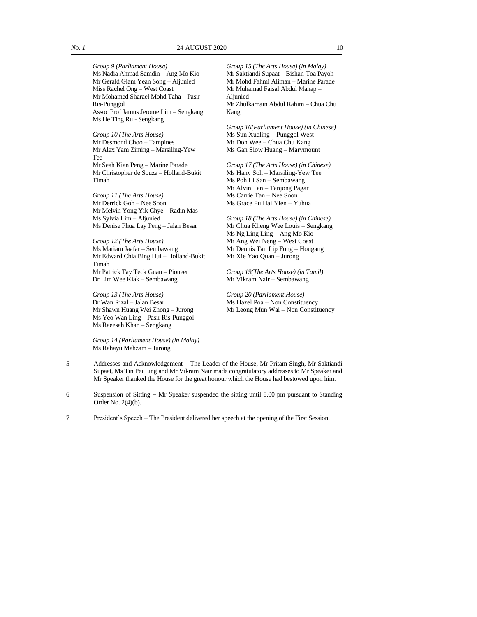*Group 10 (The Arts House)* Mr Desmond Choo – Tampines Mr Alex Yam Ziming – Marsiling-Yew Tee Mr Seah Kian Peng – Marine Parade Mr Christopher de Souza – Holland-Bukit Timah

*Group 11 (The Arts House)* Mr Derrick Goh – Nee Soon Mr Melvin Yong Yik Chye – Radin Mas Ms Sylvia Lim – Aljunied Ms Denise Phua Lay Peng – Jalan Besar

*Group 12 (The Arts House)* Ms Mariam Jaafar – Sembawang Mr Edward Chia Bing Hui – Holland-Bukit Timah Mr Patrick Tay Teck Guan – Pioneer Dr Lim Wee Kiak – Sembawang

*Group 13 (The Arts House)* Dr Wan Rizal – Jalan Besar Mr Shawn Huang Wei Zhong – Jurong Ms Yeo Wan Ling – Pasir Ris-Punggol Ms Raeesah Khan – Sengkang

*Group 14 (Parliament House) (in Malay)*  Ms Rahayu Mahzam – Jurong

*Group 15 (The Arts House) (in Malay)*  Mr Saktiandi Supaat – Bishan-Toa Payoh Mr Mohd Fahmi Aliman – Marine Parade Mr Muhamad Faisal Abdul Manap – **Aliunied** Mr Zhulkarnain Abdul Rahim – Chua Chu Kang

*Group 16(Parliament House) (in Chinese)*  Ms Sun Xueling – Punggol West Mr Don Wee – Chua Chu Kang Ms Gan Siow Huang – Marymount

*Group 17 (The Arts House) (in Chinese)*  Ms Hany Soh – Marsiling-Yew Tee Ms Poh Li San – Sembawang Mr Alvin Tan – Tanjong Pagar Ms Carrie Tan – Nee Soon Ms Grace Fu Hai Yien – Yuhua

*Group 18 (The Arts House) (in Chinese)*  Mr Chua Kheng Wee Louis – Sengkang Ms Ng Ling Ling – Ang Mo Kio Mr Ang Wei Neng – West Coast Mr Dennis Tan Lip Fong – Hougang Mr Xie Yao Quan – Jurong

*Group 19(The Arts House) (in Tamil)*  Mr Vikram Nair – Sembawang

*Group 20 (Parliament House)* Ms Hazel Poa – Non Constituency Mr Leong Mun Wai – Non Constituency

- 5 Addresses and Acknowledgement − The Leader of the House, Mr Pritam Singh, Mr Saktiandi Supaat, Ms Tin Pei Ling and Mr Vikram Nair made congratulatory addresses to Mr Speaker and Mr Speaker thanked the House for the great honour which the House had bestowed upon him.
- 6 Suspension of Sitting − Mr Speaker suspended the sitting until 8.00 pm pursuant to Standing Order No. 2(4)(b).
- 7 President's Speech − The President delivered her speech at the opening of the First Session.